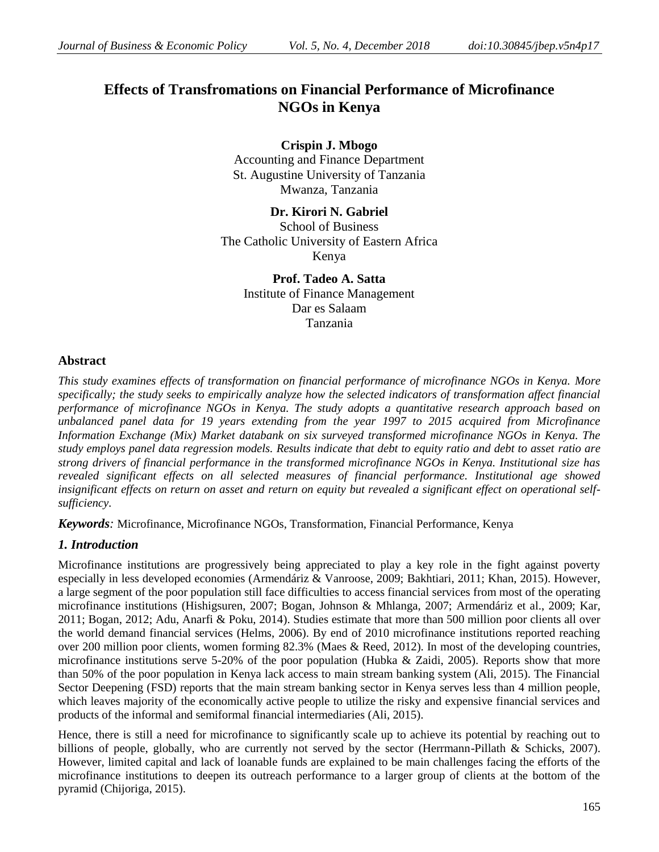# **Effects of Transfromations on Financial Performance of Microfinance NGOs in Kenya**

**Crispin J. Mbogo** Accounting and Finance Department St. Augustine University of Tanzania Mwanza, Tanzania

**Dr. Kirori N. Gabriel** School of Business The Catholic University of Eastern Africa Kenya

> **Prof. Tadeo A. Satta** Institute of Finance Management Dar es Salaam Tanzania

# **Abstract**

*This study examines effects of transformation on financial performance of microfinance NGOs in Kenya. More specifically; the study seeks to empirically analyze how the selected indicators of transformation affect financial performance of microfinance NGOs in Kenya. The study adopts a quantitative research approach based on unbalanced panel data for 19 years extending from the year 1997 to 2015 acquired from Microfinance Information Exchange (Mix) Market databank on six surveyed transformed microfinance NGOs in Kenya. The study employs panel data regression models. Results indicate that debt to equity ratio and debt to asset ratio are strong drivers of financial performance in the transformed microfinance NGOs in Kenya. Institutional size has revealed significant effects on all selected measures of financial performance. Institutional age showed insignificant effects on return on asset and return on equity but revealed a significant effect on operational selfsufficiency.* 

*Keywords:* Microfinance, Microfinance NGOs, Transformation, Financial Performance, Kenya

# *1. Introduction*

Microfinance institutions are progressively being appreciated to play a key role in the fight against poverty especially in less developed economies (Armendáriz & Vanroose, 2009; Bakhtiari, 2011; Khan, 2015). However, a large segment of the poor population still face difficulties to access financial services from most of the operating microfinance institutions (Hishigsuren, 2007; Bogan, Johnson & Mhlanga, 2007; Armendáriz et al., 2009; Kar, 2011; Bogan, 2012; Adu, Anarfi & Poku, 2014). Studies estimate that more than 500 million poor clients all over the world demand financial services (Helms, 2006). By end of 2010 microfinance institutions reported reaching over 200 million poor clients, women forming 82.3% (Maes & Reed, 2012). In most of the developing countries, microfinance institutions serve 5-20% of the poor population (Hubka & Zaidi, 2005). Reports show that more than 50% of the poor population in Kenya lack access to main stream banking system (Ali, 2015). The Financial Sector Deepening (FSD) reports that the main stream banking sector in Kenya serves less than 4 million people, which leaves majority of the economically active people to utilize the risky and expensive financial services and products of the informal and semiformal financial intermediaries (Ali, 2015).

Hence, there is still a need for microfinance to significantly scale up to achieve its potential by reaching out to billions of people, globally, who are currently not served by the sector (Herrmann-Pillath & Schicks, 2007). However, limited capital and lack of loanable funds are explained to be main challenges facing the efforts of the microfinance institutions to deepen its outreach performance to a larger group of clients at the bottom of the pyramid (Chijoriga, 2015).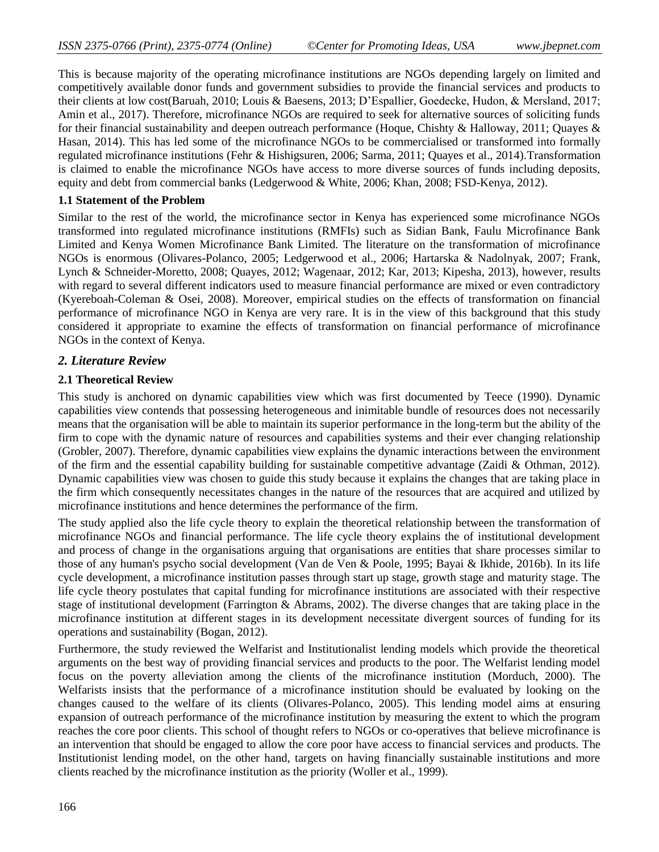This is because majority of the operating microfinance institutions are NGOs depending largely on limited and competitively available donor funds and government subsidies to provide the financial services and products to their clients at low cost(Baruah, 2010; Louis & Baesens, 2013; D'Espallier, Goedecke, Hudon, & Mersland, 2017; Amin et al., 2017). Therefore, microfinance NGOs are required to seek for alternative sources of soliciting funds for their financial sustainability and deepen outreach performance (Hoque, Chishty & Halloway, 2011; Quayes & Hasan, 2014). This has led some of the microfinance NGOs to be commercialised or transformed into formally regulated microfinance institutions (Fehr & Hishigsuren, 2006; Sarma, 2011; Quayes et al., 2014).Transformation is claimed to enable the microfinance NGOs have access to more diverse sources of funds including deposits, equity and debt from commercial banks (Ledgerwood & White, 2006; Khan, 2008; FSD-Kenya, 2012).

### **1.1 Statement of the Problem**

Similar to the rest of the world, the microfinance sector in Kenya has experienced some microfinance NGOs transformed into regulated microfinance institutions (RMFIs) such as Sidian Bank, Faulu Microfinance Bank Limited and Kenya Women Microfinance Bank Limited. The literature on the transformation of microfinance NGOs is enormous (Olivares-Polanco, 2005; Ledgerwood et al., 2006; Hartarska & Nadolnyak, 2007; Frank, Lynch & Schneider-Moretto, 2008; Quayes, 2012; Wagenaar, 2012; Kar, 2013; Kipesha, 2013), however, results with regard to several different indicators used to measure financial performance are mixed or even contradictory (Kyereboah-Coleman & Osei, 2008). Moreover, empirical studies on the effects of transformation on financial performance of microfinance NGO in Kenya are very rare. It is in the view of this background that this study considered it appropriate to examine the effects of transformation on financial performance of microfinance NGOs in the context of Kenya.

# *2. Literature Review*

### **2.1 Theoretical Review**

This study is anchored on dynamic capabilities view which was first documented by Teece (1990). Dynamic capabilities view contends that possessing heterogeneous and inimitable bundle of resources does not necessarily means that the organisation will be able to maintain its superior performance in the long-term but the ability of the firm to cope with the dynamic nature of resources and capabilities systems and their ever changing relationship (Grobler, 2007). Therefore, dynamic capabilities view explains the dynamic interactions between the environment of the firm and the essential capability building for sustainable competitive advantage (Zaidi & Othman, 2012). Dynamic capabilities view was chosen to guide this study because it explains the changes that are taking place in the firm which consequently necessitates changes in the nature of the resources that are acquired and utilized by microfinance institutions and hence determines the performance of the firm.

The study applied also the life cycle theory to explain the theoretical relationship between the transformation of microfinance NGOs and financial performance. The life cycle theory explains the of institutional development and process of change in the organisations arguing that organisations are entities that share processes similar to those of any human's psycho social development (Van de Ven & Poole, 1995; Bayai & Ikhide, 2016b). In its life cycle development, a microfinance institution passes through start up stage, growth stage and maturity stage. The life cycle theory postulates that capital funding for microfinance institutions are associated with their respective stage of institutional development (Farrington & Abrams, 2002). The diverse changes that are taking place in the microfinance institution at different stages in its development necessitate divergent sources of funding for its operations and sustainability (Bogan, 2012).

Furthermore, the study reviewed the Welfarist and Institutionalist lending models which provide the theoretical arguments on the best way of providing financial services and products to the poor. The Welfarist lending model focus on the poverty alleviation among the clients of the microfinance institution (Morduch, 2000). The Welfarists insists that the performance of a microfinance institution should be evaluated by looking on the changes caused to the welfare of its clients (Olivares-Polanco, 2005). This lending model aims at ensuring expansion of outreach performance of the microfinance institution by measuring the extent to which the program reaches the core poor clients. This school of thought refers to NGOs or co-operatives that believe microfinance is an intervention that should be engaged to allow the core poor have access to financial services and products. The Institutionist lending model, on the other hand, targets on having financially sustainable institutions and more clients reached by the microfinance institution as the priority (Woller et al., 1999).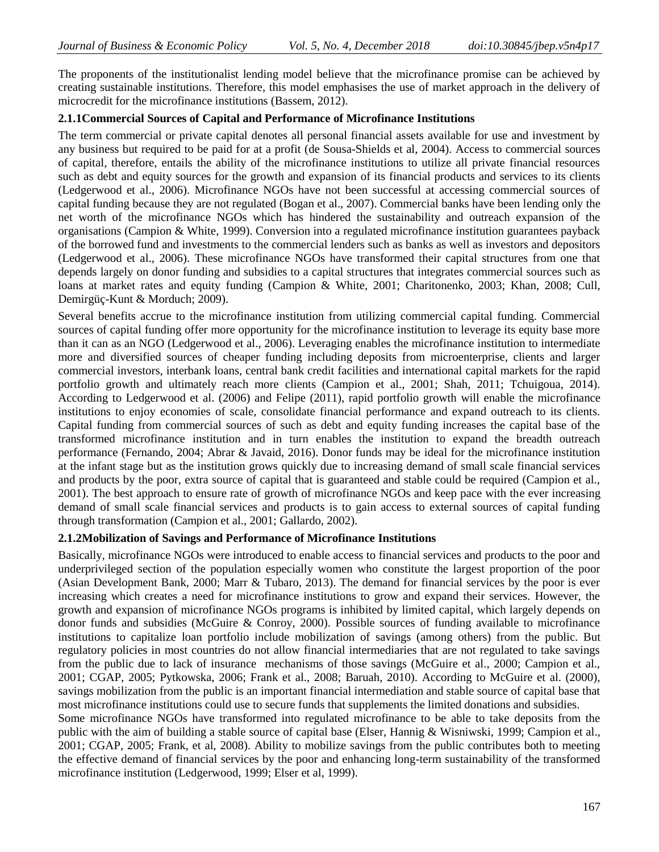The proponents of the institutionalist lending model believe that the microfinance promise can be achieved by creating sustainable institutions. Therefore, this model emphasises the use of market approach in the delivery of microcredit for the microfinance institutions (Bassem, 2012).

#### **2.1.1Commercial Sources of Capital and Performance of Microfinance Institutions**

The term commercial or private capital denotes all personal financial assets available for use and investment by any business but required to be paid for at a profit (de Sousa-Shields et al, 2004). Access to commercial sources of capital, therefore, entails the ability of the microfinance institutions to utilize all private financial resources such as debt and equity sources for the growth and expansion of its financial products and services to its clients (Ledgerwood et al., 2006). Microfinance NGOs have not been successful at accessing commercial sources of capital funding because they are not regulated (Bogan et al., 2007). Commercial banks have been lending only the net worth of the microfinance NGOs which has hindered the sustainability and outreach expansion of the organisations (Campion & White, 1999). Conversion into a regulated microfinance institution guarantees payback of the borrowed fund and investments to the commercial lenders such as banks as well as investors and depositors (Ledgerwood et al., 2006). These microfinance NGOs have transformed their capital structures from one that depends largely on donor funding and subsidies to a capital structures that integrates commercial sources such as loans at market rates and equity funding (Campion & White, 2001; Charitonenko, 2003; Khan, 2008; Cull, Demirgüç-Kunt & Morduch; 2009).

Several benefits accrue to the microfinance institution from utilizing commercial capital funding. Commercial sources of capital funding offer more opportunity for the microfinance institution to leverage its equity base more than it can as an NGO (Ledgerwood et al., 2006). Leveraging enables the microfinance institution to intermediate more and diversified sources of cheaper funding including deposits from microenterprise, clients and larger commercial investors, interbank loans, central bank credit facilities and international capital markets for the rapid portfolio growth and ultimately reach more clients (Campion et al., 2001; Shah, 2011; Tchuigoua, 2014). According to Ledgerwood et al. (2006) and Felipe (2011), rapid portfolio growth will enable the microfinance institutions to enjoy economies of scale, consolidate financial performance and expand outreach to its clients. Capital funding from commercial sources of such as debt and equity funding increases the capital base of the transformed microfinance institution and in turn enables the institution to expand the breadth outreach performance (Fernando, 2004; Abrar & Javaid, 2016). Donor funds may be ideal for the microfinance institution at the infant stage but as the institution grows quickly due to increasing demand of small scale financial services and products by the poor, extra source of capital that is guaranteed and stable could be required (Campion et al., 2001). The best approach to ensure rate of growth of microfinance NGOs and keep pace with the ever increasing demand of small scale financial services and products is to gain access to external sources of capital funding through transformation (Campion et al., 2001; Gallardo, 2002).

#### **2.1.2Mobilization of Savings and Performance of Microfinance Institutions**

Basically, microfinance NGOs were introduced to enable access to financial services and products to the poor and underprivileged section of the population especially women who constitute the largest proportion of the poor (Asian Development Bank, 2000; Marr & Tubaro, 2013). The demand for financial services by the poor is ever increasing which creates a need for microfinance institutions to grow and expand their services. However, the growth and expansion of microfinance NGOs programs is inhibited by limited capital, which largely depends on donor funds and subsidies (McGuire & Conroy, 2000). Possible sources of funding available to microfinance institutions to capitalize loan portfolio include mobilization of savings (among others) from the public. But regulatory policies in most countries do not allow financial intermediaries that are not regulated to take savings from the public due to lack of insurance mechanisms of those savings (McGuire et al., 2000; Campion et al., 2001; CGAP, 2005; Pytkowska, 2006; Frank et al., 2008; Baruah, 2010). According to McGuire et al. (2000), savings mobilization from the public is an important financial intermediation and stable source of capital base that most microfinance institutions could use to secure funds that supplements the limited donations and subsidies.

Some microfinance NGOs have transformed into regulated microfinance to be able to take deposits from the public with the aim of building a stable source of capital base (Elser, Hannig & Wisniwski, 1999; Campion et al., 2001; CGAP, 2005; Frank, et al, 2008). Ability to mobilize savings from the public contributes both to meeting the effective demand of financial services by the poor and enhancing long-term sustainability of the transformed microfinance institution (Ledgerwood, 1999; Elser et al, 1999).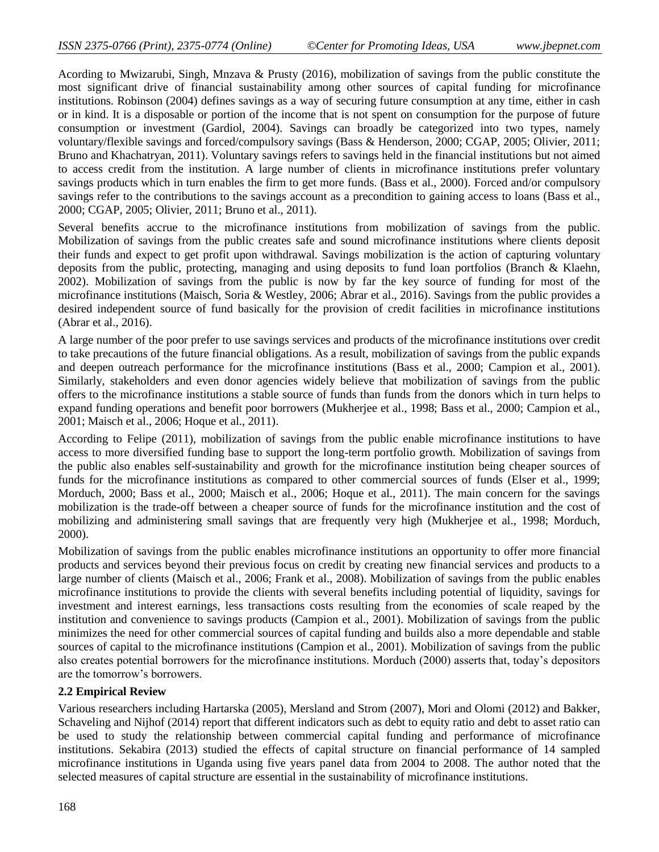Acording to Mwizarubi, Singh, Mnzava & Prusty (2016), mobilization of savings from the public constitute the most significant drive of financial sustainability among other sources of capital funding for microfinance institutions. Robinson (2004) defines savings as a way of securing future consumption at any time, either in cash or in kind. It is a disposable or portion of the income that is not spent on consumption for the purpose of future consumption or investment (Gardiol, 2004). Savings can broadly be categorized into two types, namely voluntary/flexible savings and forced/compulsory savings (Bass & Henderson, 2000; CGAP, 2005; Olivier, 2011; Bruno and Khachatryan, 2011). Voluntary savings refers to savings held in the financial institutions but not aimed to access credit from the institution. A large number of clients in microfinance institutions prefer voluntary savings products which in turn enables the firm to get more funds. (Bass et al., 2000). Forced and/or compulsory savings refer to the contributions to the savings account as a precondition to gaining access to loans (Bass et al., 2000; CGAP, 2005; Olivier, 2011; Bruno et al., 2011).

Several benefits accrue to the microfinance institutions from mobilization of savings from the public. Mobilization of savings from the public creates safe and sound microfinance institutions where clients deposit their funds and expect to get profit upon withdrawal. Savings mobilization is the action of capturing voluntary deposits from the public, protecting, managing and using deposits to fund loan portfolios (Branch & Klaehn, 2002). Mobilization of savings from the public is now by far the key source of funding for most of the microfinance institutions (Maisch, Soria & Westley, 2006; Abrar et al., 2016). Savings from the public provides a desired independent source of fund basically for the provision of credit facilities in microfinance institutions (Abrar et al., 2016).

A large number of the poor prefer to use savings services and products of the microfinance institutions over credit to take precautions of the future financial obligations. As a result, mobilization of savings from the public expands and deepen outreach performance for the microfinance institutions (Bass et al., 2000; Campion et al., 2001). Similarly, stakeholders and even donor agencies widely believe that mobilization of savings from the public offers to the microfinance institutions a stable source of funds than funds from the donors which in turn helps to expand funding operations and benefit poor borrowers (Mukherjee et al., 1998; Bass et al., 2000; Campion et al., 2001; Maisch et al., 2006; Hoque et al., 2011).

According to Felipe (2011), mobilization of savings from the public enable microfinance institutions to have access to more diversified funding base to support the long-term portfolio growth. Mobilization of savings from the public also enables self-sustainability and growth for the microfinance institution being cheaper sources of funds for the microfinance institutions as compared to other commercial sources of funds (Elser et al., 1999; Morduch, 2000; Bass et al., 2000; Maisch et al., 2006; Hoque et al., 2011). The main concern for the savings mobilization is the trade-off between a cheaper source of funds for the microfinance institution and the cost of mobilizing and administering small savings that are frequently very high (Mukherjee et al., 1998; Morduch, 2000).

Mobilization of savings from the public enables microfinance institutions an opportunity to offer more financial products and services beyond their previous focus on credit by creating new financial services and products to a large number of clients (Maisch et al., 2006; Frank et al., 2008). Mobilization of savings from the public enables microfinance institutions to provide the clients with several benefits including potential of liquidity, savings for investment and interest earnings, less transactions costs resulting from the economies of scale reaped by the institution and convenience to savings products (Campion et al., 2001). Mobilization of savings from the public minimizes the need for other commercial sources of capital funding and builds also a more dependable and stable sources of capital to the microfinance institutions (Campion et al., 2001). Mobilization of savings from the public also creates potential borrowers for the microfinance institutions. Morduch (2000) asserts that, today's depositors are the tomorrow's borrowers.

#### **2.2 Empirical Review**

Various researchers including Hartarska (2005), Mersland and Strom (2007), Mori and Olomi (2012) and Bakker, Schaveling and Nijhof (2014) report that different indicators such as debt to equity ratio and debt to asset ratio can be used to study the relationship between commercial capital funding and performance of microfinance institutions. Sekabira (2013) studied the effects of capital structure on financial performance of 14 sampled microfinance institutions in Uganda using five years panel data from 2004 to 2008. The author noted that the selected measures of capital structure are essential in the sustainability of microfinance institutions.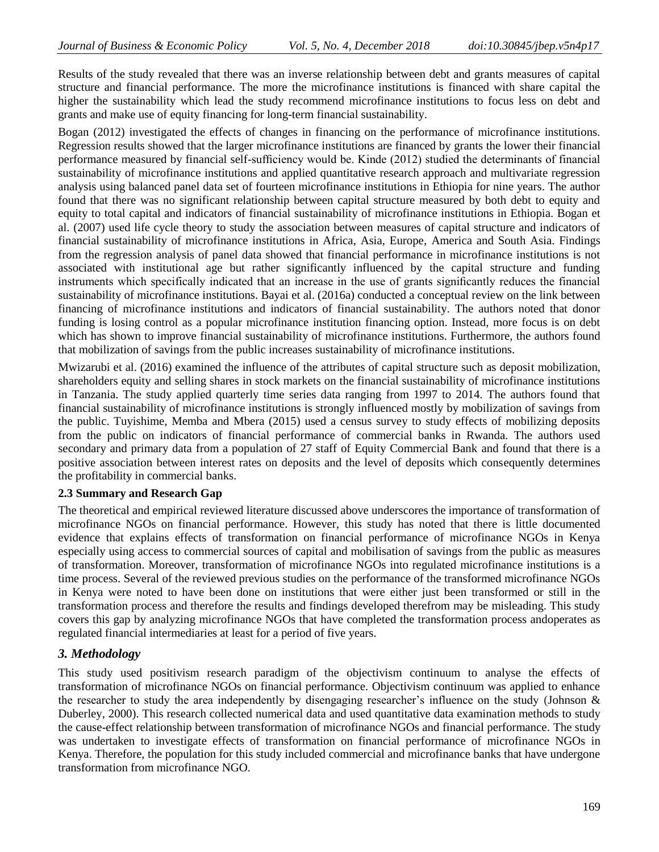Results of the study revealed that there was an inverse relationship between debt and grants measures of capital structure and financial performance. The more the microfinance institutions is financed with share capital the higher the sustainability which lead the study recommend microfinance institutions to focus less on debt and grants and make use of equity financing for long-term financial sustainability.

Bogan (2012) investigated the effects of changes in financing on the performance of microfinance institutions. Regression results showed that the larger microfinance institutions are financed by grants the lower their financial performance measured by financial self-sufficiency would be. Kinde (2012) studied the determinants of financial sustainability of microfinance institutions and applied quantitative research approach and multivariate regression analysis using balanced panel data set of fourteen microfinance institutions in Ethiopia for nine years. The author found that there was no significant relationship between capital structure measured by both debt to equity and equity to total capital and indicators of financial sustainability of microfinance institutions in Ethiopia. Bogan et al. (2007) used life cycle theory to study the association between measures of capital structure and indicators of financial sustainability of microfinance institutions in Africa, Asia, Europe, America and South Asia. Findings from the regression analysis of panel data showed that financial performance in microfinance institutions is not associated with institutional age but rather significantly influenced by the capital structure and funding instruments which specifically indicated that an increase in the use of grants significantly reduces the financial sustainability of microfinance institutions. Bayai et al. (2016a) conducted a conceptual review on the link between financing of microfinance institutions and indicators of financial sustainability. The authors noted that donor funding is losing control as a popular microfinance institution financing option. Instead, more focus is on debt which has shown to improve financial sustainability of microfinance institutions. Furthermore, the authors found that mobilization of savings from the public increases sustainability of microfinance institutions.

Mwizarubi et al. (2016) examined the influence of the attributes of capital structure such as deposit mobilization, shareholders equity and selling shares in stock markets on the financial sustainability of microfinance institutions in Tanzania. The study applied quarterly time series data ranging from 1997 to 2014. The authors found that financial sustainability of microfinance institutions is strongly influenced mostly by mobilization of savings from the public. Tuyishime, Memba and Mbera (2015) used a census survey to study effects of mobilizing deposits from the public on indicators of financial performance of commercial banks in Rwanda. The authors used secondary and primary data from a population of 27 staff of Equity Commercial Bank and found that there is a positive association between interest rates on deposits and the level of deposits which consequently determines the profitability in commercial banks.

#### **2.3 Summary and Research Gap**

The theoretical and empirical reviewed literature discussed above underscores the importance of transformation of microfinance NGOs on financial performance. However, this study has noted that there is little documented evidence that explains effects of transformation on financial performance of microfinance NGOs in Kenya especially using access to commercial sources of capital and mobilisation of savings from the public as measures of transformation. Moreover, transformation of microfinance NGOs into regulated microfinance institutions is a time process. Several of the reviewed previous studies on the performance of the transformed microfinance NGOs in Kenya were noted to have been done on institutions that were either just been transformed or still in the transformation process and therefore the results and findings developed therefrom may be misleading. This study covers this gap by analyzing microfinance NGOs that have completed the transformation process andoperates as regulated financial intermediaries at least for a period of five years.

# *3. Methodology*

This study used positivism research paradigm of the objectivism continuum to analyse the effects of transformation of microfinance NGOs on financial performance. Objectivism continuum was applied to enhance the researcher to study the area independently by disengaging researcher's influence on the study (Johnson & Duberley, 2000). This research collected numerical data and used quantitative data examination methods to study the cause-effect relationship between transformation of microfinance NGOs and financial performance. The study was undertaken to investigate effects of transformation on financial performance of microfinance NGOs in Kenya. Therefore, the population for this study included commercial and microfinance banks that have undergone transformation from microfinance NGO.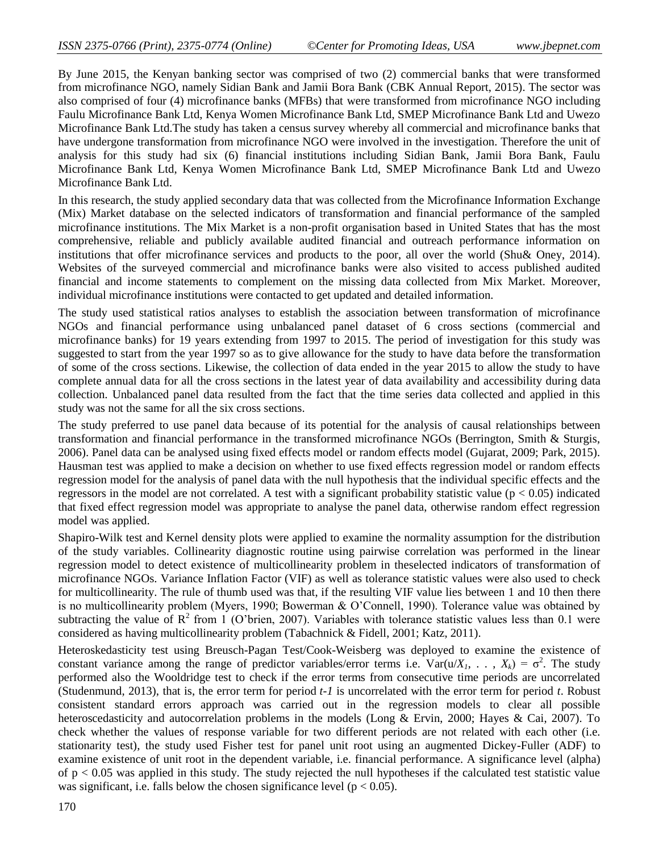By June 2015, the Kenyan banking sector was comprised of two (2) commercial banks that were transformed from microfinance NGO, namely Sidian Bank and Jamii Bora Bank (CBK Annual Report, 2015). The sector was also comprised of four (4) microfinance banks (MFBs) that were transformed from microfinance NGO including Faulu Microfinance Bank Ltd, Kenya Women Microfinance Bank Ltd, SMEP Microfinance Bank Ltd and Uwezo Microfinance Bank Ltd.The study has taken a census survey whereby all commercial and microfinance banks that have undergone transformation from microfinance NGO were involved in the investigation. Therefore the unit of analysis for this study had six (6) financial institutions including Sidian Bank, Jamii Bora Bank, Faulu Microfinance Bank Ltd, Kenya Women Microfinance Bank Ltd, SMEP Microfinance Bank Ltd and Uwezo Microfinance Bank Ltd.

In this research, the study applied secondary data that was collected from the Microfinance Information Exchange (Mix) Market database on the selected indicators of transformation and financial performance of the sampled microfinance institutions. The Mix Market is a non-profit organisation based in United States that has the most comprehensive, reliable and publicly available audited financial and outreach performance information on institutions that offer microfinance services and products to the poor, all over the world (Shu& Oney, 2014). Websites of the surveyed commercial and microfinance banks were also visited to access published audited financial and income statements to complement on the missing data collected from Mix Market. Moreover, individual microfinance institutions were contacted to get updated and detailed information.

The study used statistical ratios analyses to establish the association between transformation of microfinance NGOs and financial performance using unbalanced panel dataset of 6 cross sections (commercial and microfinance banks) for 19 years extending from 1997 to 2015. The period of investigation for this study was suggested to start from the year 1997 so as to give allowance for the study to have data before the transformation of some of the cross sections. Likewise, the collection of data ended in the year 2015 to allow the study to have complete annual data for all the cross sections in the latest year of data availability and accessibility during data collection. Unbalanced panel data resulted from the fact that the time series data collected and applied in this study was not the same for all the six cross sections.

The study preferred to use panel data because of its potential for the analysis of causal relationships between transformation and financial performance in the transformed microfinance NGOs (Berrington, Smith & Sturgis, 2006). Panel data can be analysed using fixed effects model or random effects model (Gujarat, 2009; Park, 2015). Hausman test was applied to make a decision on whether to use fixed effects regression model or random effects regression model for the analysis of panel data with the null hypothesis that the individual specific effects and the regressors in the model are not correlated. A test with a significant probability statistic value ( $p < 0.05$ ) indicated that fixed effect regression model was appropriate to analyse the panel data, otherwise random effect regression model was applied.

Shapiro-Wilk test and Kernel density plots were applied to examine the normality assumption for the distribution of the study variables. Collinearity diagnostic routine using pairwise correlation was performed in the linear regression model to detect existence of multicollinearity problem in theselected indicators of transformation of microfinance NGOs. Variance Inflation Factor (VIF) as well as tolerance statistic values were also used to check for multicollinearity. The rule of thumb used was that, if the resulting VIF value lies between 1 and 10 then there is no multicollinearity problem (Myers, 1990; Bowerman & O'Connell, 1990). Tolerance value was obtained by subtracting the value of  $\mathbb{R}^2$  from 1 (O'brien, 2007). Variables with tolerance statistic values less than 0.1 were considered as having multicollinearity problem (Tabachnick & Fidell, 2001; Katz, 2011).

Heteroskedasticity test using Breusch-Pagan Test/Cook-Weisberg was deployed to examine the existence of constant variance among the range of predictor variables/error terms i.e.  $Var(u/X_1, \ldots, X_k) = \sigma^2$ . The study performed also the Wooldridge test to check if the error terms from consecutive time periods are uncorrelated (Studenmund, 2013), that is, the error term for period *t-1* is uncorrelated with the error term for period *t*. Robust consistent standard errors approach was carried out in the regression models to clear all possible heteroscedasticity and autocorrelation problems in the models (Long & Ervin, 2000; Hayes & Cai, 2007). To check whether the values of response variable for two different periods are not related with each other (i.e. stationarity test), the study used Fisher test for panel unit root using an augmented Dickey-Fuller (ADF) to examine existence of unit root in the dependent variable, i.e. financial performance. A significance level (alpha) of p < 0.05 was applied in this study. The study rejected the null hypotheses if the calculated test statistic value was significant, i.e. falls below the chosen significance level ( $p < 0.05$ ).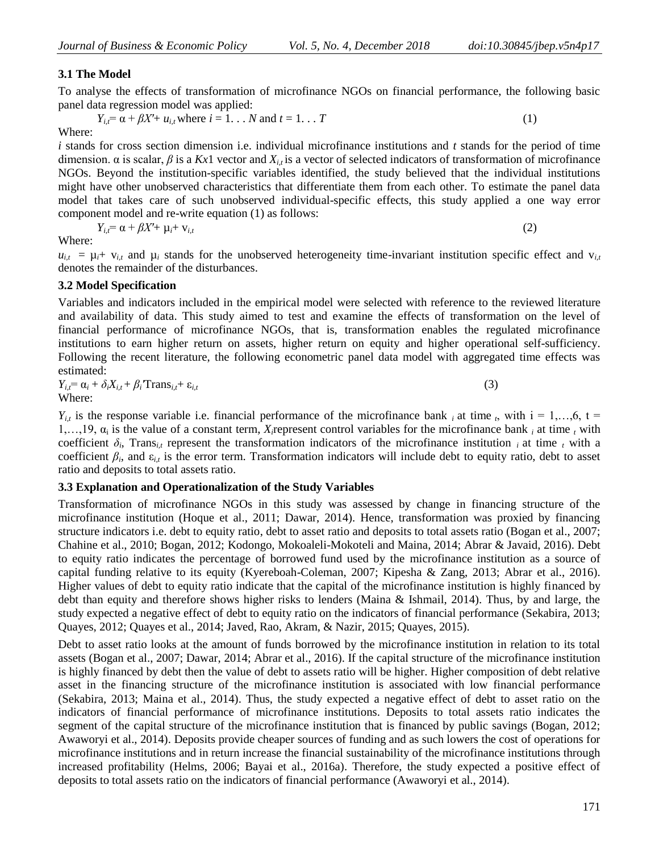# **3.1 The Model**

To analyse the effects of transformation of microfinance NGOs on financial performance, the following basic panel data regression model was applied:

$$
Y_{i,t} = \alpha + \beta X' + u_{i,t}
$$
 where  $i = 1...N$  and  $t = 1...T$  (1)  
Where:

*i* stands for cross section dimension i.e. individual microfinance institutions and *t* stands for the period of time dimension.  $\alpha$  is scalar,  $\beta$  is a Kx1 vector and  $X_{i,t}$  is a vector of selected indicators of transformation of microfinance NGOs. Beyond the institution-specific variables identified, the study believed that the individual institutions might have other unobserved characteristics that differentiate them from each other. To estimate the panel data model that takes care of such unobserved individual-specific effects, this study applied a one way error component model and re-write equation (1) as follows:

$$
Y_{i,t} = \alpha + \beta X' + \mu_t + \nu_{i,t} \tag{2}
$$

Where:

 $u_{i,t} = \mu_i + v_{i,t}$  and  $\mu_i$  stands for the unobserved heterogeneity time-invariant institution specific effect and  $v_{i,t}$ denotes the remainder of the disturbances.

### **3.2 Model Specification**

Variables and indicators included in the empirical model were selected with reference to the reviewed literature and availability of data. This study aimed to test and examine the effects of transformation on the level of financial performance of microfinance NGOs, that is, transformation enables the regulated microfinance institutions to earn higher return on assets, higher return on equity and higher operational self-sufficiency. Following the recent literature, the following econometric panel data model with aggregated time effects was estimated:

$$
Y_{i,t} = \alpha_i + \delta_i X_{i,t} + \beta_i \text{Trans}_{i,t} + \varepsilon_{i,t}
$$
\n(3)

\nWhere:

 $Y_{i,t}$  is the response variable i.e. financial performance of the microfinance bank *i* at time *t*, with  $i = 1,...,6$ ,  $t =$ 1,..., 19,  $\alpha_i$  is the value of a constant term, *X<sub>i</sub>* represent control variables for the microfinance bank *i* at time *t* with coefficient  $\delta_i$ , Trans<sub>*i,t*</sub> represent the transformation indicators of the microfinance institution *i* at time *t* with a coefficient  $\beta_i$ , and  $\varepsilon_{i,t}$  is the error term. Transformation indicators will include debt to equity ratio, debt to asset ratio and deposits to total assets ratio.

#### **3.3 Explanation and Operationalization of the Study Variables**

Transformation of microfinance NGOs in this study was assessed by change in financing structure of the microfinance institution (Hoque et al., 2011; Dawar, 2014). Hence, transformation was proxied by financing structure indicators i.e. debt to equity ratio, debt to asset ratio and deposits to total assets ratio (Bogan et al., 2007; Chahine et al., 2010; Bogan, 2012; Kodongo, Mokoaleli-Mokoteli and Maina, 2014; Abrar & Javaid, 2016). Debt to equity ratio indicates the percentage of borrowed fund used by the microfinance institution as a source of capital funding relative to its equity (Kyereboah-Coleman, 2007; Kipesha & Zang, 2013; Abrar et al., 2016). Higher values of debt to equity ratio indicate that the capital of the microfinance institution is highly financed by debt than equity and therefore shows higher risks to lenders (Maina & Ishmail, 2014). Thus, by and large, the study expected a negative effect of debt to equity ratio on the indicators of financial performance (Sekabira, 2013; Quayes, 2012; Quayes et al., 2014; Javed, Rao, Akram, & Nazir, 2015; Quayes, 2015).

Debt to asset ratio looks at the amount of funds borrowed by the microfinance institution in relation to its total assets (Bogan et al., 2007; Dawar, 2014; Abrar et al., 2016). If the capital structure of the microfinance institution is highly financed by debt then the value of debt to assets ratio will be higher. Higher composition of debt relative asset in the financing structure of the microfinance institution is associated with low financial performance (Sekabira, 2013; Maina et al., 2014). Thus, the study expected a negative effect of debt to asset ratio on the indicators of financial performance of microfinance institutions. Deposits to total assets ratio indicates the segment of the capital structure of the microfinance institution that is financed by public savings (Bogan, 2012; Awaworyi et al., 2014). Deposits provide cheaper sources of funding and as such lowers the cost of operations for microfinance institutions and in return increase the financial sustainability of the microfinance institutions through increased profitability (Helms, 2006; Bayai et al., 2016a). Therefore, the study expected a positive effect of deposits to total assets ratio on the indicators of financial performance (Awaworyi et al., 2014).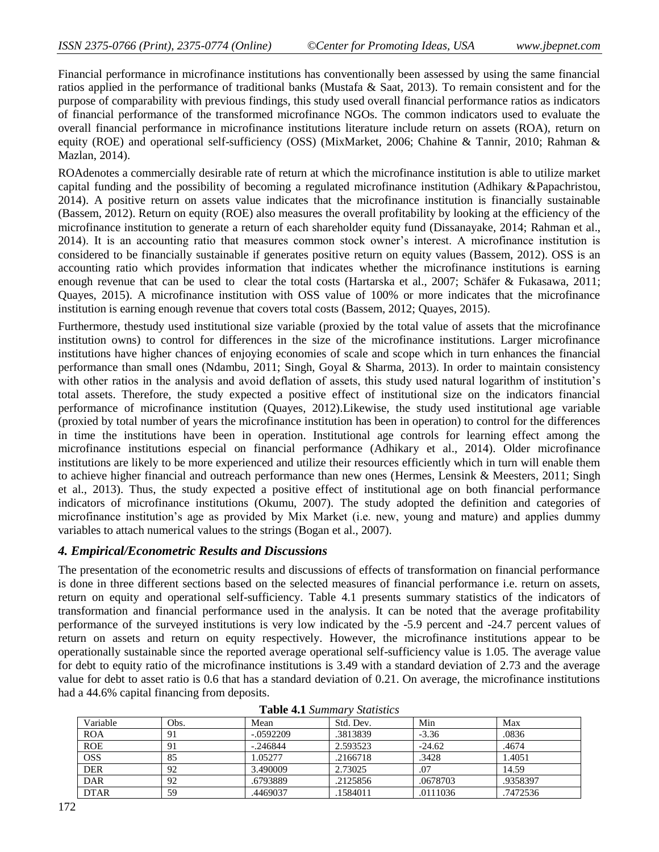Financial performance in microfinance institutions has conventionally been assessed by using the same financial ratios applied in the performance of traditional banks (Mustafa & Saat, 2013). To remain consistent and for the purpose of comparability with previous findings, this study used overall financial performance ratios as indicators of financial performance of the transformed microfinance NGOs. The common indicators used to evaluate the overall financial performance in microfinance institutions literature include return on assets (ROA), return on equity (ROE) and operational self-sufficiency (OSS) (MixMarket, 2006; Chahine & Tannir, 2010; Rahman & Mazlan, 2014).

ROAdenotes a commercially desirable rate of return at which the microfinance institution is able to utilize market capital funding and the possibility of becoming a regulated microfinance institution (Adhikary &Papachristou, 2014). A positive return on assets value indicates that the microfinance institution is financially sustainable (Bassem, 2012). Return on equity (ROE) also measures the overall profitability by looking at the efficiency of the microfinance institution to generate a return of each shareholder equity fund (Dissanayake, 2014; Rahman et al., 2014). It is an accounting ratio that measures common stock owner's interest. A microfinance institution is considered to be financially sustainable if generates positive return on equity values (Bassem, 2012). OSS is an accounting ratio which provides information that indicates whether the microfinance institutions is earning enough revenue that can be used to clear the total costs (Hartarska et al., 2007; Schäfer & Fukasawa, 2011; Quayes, 2015). A microfinance institution with OSS value of 100% or more indicates that the microfinance institution is earning enough revenue that covers total costs (Bassem, 2012; Quayes, 2015).

Furthermore, thestudy used institutional size variable (proxied by the total value of assets that the microfinance institution owns) to control for differences in the size of the microfinance institutions. Larger microfinance institutions have higher chances of enjoying economies of scale and scope which in turn enhances the financial performance than small ones (Ndambu, 2011; Singh, Goyal & Sharma, 2013). In order to maintain consistency with other ratios in the analysis and avoid deflation of assets, this study used natural logarithm of institution's total assets. Therefore, the study expected a positive effect of institutional size on the indicators financial performance of microfinance institution (Quayes, 2012).Likewise, the study used institutional age variable (proxied by total number of years the microfinance institution has been in operation) to control for the differences in time the institutions have been in operation. Institutional age controls for learning effect among the microfinance institutions especial on financial performance (Adhikary et al., 2014). Older microfinance institutions are likely to be more experienced and utilize their resources efficiently which in turn will enable them to achieve higher financial and outreach performance than new ones (Hermes, Lensink & Meesters, 2011; Singh et al., 2013). Thus, the study expected a positive effect of institutional age on both financial performance indicators of microfinance institutions (Okumu, 2007). The study adopted the definition and categories of microfinance institution's age as provided by Mix Market (i.e. new, young and mature) and applies dummy variables to attach numerical values to the strings (Bogan et al., 2007).

# *4. Empirical/Econometric Results and Discussions*

The presentation of the econometric results and discussions of effects of transformation on financial performance is done in three different sections based on the selected measures of financial performance i.e. return on assets, return on equity and operational self-sufficiency. Table 4.1 presents summary statistics of the indicators of transformation and financial performance used in the analysis. It can be noted that the average profitability performance of the surveyed institutions is very low indicated by the -5.9 percent and -24.7 percent values of return on assets and return on equity respectively. However, the microfinance institutions appear to be operationally sustainable since the reported average operational self-sufficiency value is 1.05. The average value for debt to equity ratio of the microfinance institutions is 3.49 with a standard deviation of 2.73 and the average value for debt to asset ratio is 0.6 that has a standard deviation of 0.21. On average, the microfinance institutions had a 44.6% capital financing from deposits.

| Variable    | Obs. | Mean        | Std. Dev. | Min      | Max      |
|-------------|------|-------------|-----------|----------|----------|
| <b>ROA</b>  | 91   | $-.0592209$ | .3813839  | $-3.36$  | .0836    |
| <b>ROE</b>  | 91   | $-.246844$  | 2.593523  | $-24.62$ | .4674    |
| <b>OSS</b>  | 85   | 1.05277     | .2166718  | .3428    | 1.4051   |
| <b>DER</b>  | 92   | 3.490009    | 2.73025   | .07      | 14.59    |
| <b>DAR</b>  | 92   | .6793889    | .2125856  | .0678703 | .9358397 |
| <b>DTAR</b> | 59   | .4469037    | .1584011  | .0111036 | .7472536 |

**Table 4.1** *Summary Statistics*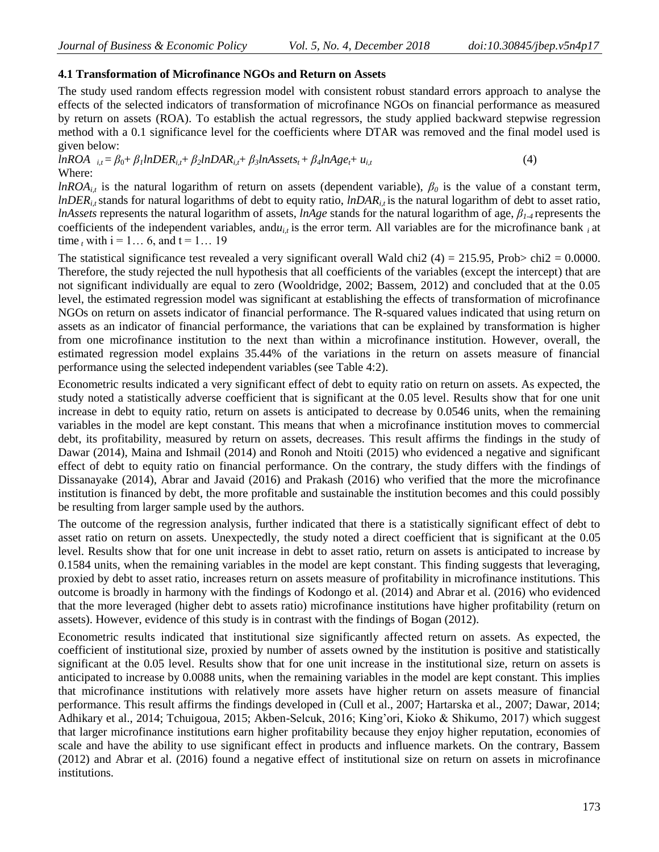#### **4.1 Transformation of Microfinance NGOs and Return on Assets**

The study used random effects regression model with consistent robust standard errors approach to analyse the effects of the selected indicators of transformation of microfinance NGOs on financial performance as measured by return on assets (ROA). To establish the actual regressors, the study applied backward stepwise regression method with a 0.1 significance level for the coefficients where DTAR was removed and the final model used is given below:

 $lnROA$   $i_t = \beta_0 + \beta_1 lnDER_{i,t} + \beta_2 lnDAR_{i,t} + \beta_3 lnAssets_t + \beta_4 lnAge_t + u_{i,t}$  (4) Where:

*lnROA*<sub>*it*</sub> is the natural logarithm of return on assets (dependent variable),  $\beta_0$  is the value of a constant term, *lnDER*<sub>*i*</sub>, stands for natural logarithms of debt to equity ratio, *lnDAR*<sub>*i*</sub>, is the natural logarithm of debt to asset ratio, *lnAssets* represents the natural logarithm of assets, *lnAge* stands for the natural logarithm of age, *β1-4* represents the coefficients of the independent variables, and $u_{i,t}$  is the error term. All variables are for the microfinance bank  $_i$  at time, with  $i = 1... 6$ , and  $t = 1... 19$ 

The statistical significance test revealed a very significant overall Wald chi2 (4) = 215.95, Prob> chi2 = 0.0000. Therefore, the study rejected the null hypothesis that all coefficients of the variables (except the intercept) that are not significant individually are equal to zero (Wooldridge, 2002; Bassem, 2012) and concluded that at the 0.05 level, the estimated regression model was significant at establishing the effects of transformation of microfinance NGOs on return on assets indicator of financial performance. The R-squared values indicated that using return on assets as an indicator of financial performance, the variations that can be explained by transformation is higher from one microfinance institution to the next than within a microfinance institution. However, overall, the estimated regression model explains 35.44% of the variations in the return on assets measure of financial performance using the selected independent variables (see Table 4:2).

Econometric results indicated a very significant effect of debt to equity ratio on return on assets. As expected, the study noted a statistically adverse coefficient that is significant at the 0.05 level. Results show that for one unit increase in debt to equity ratio, return on assets is anticipated to decrease by 0.0546 units, when the remaining variables in the model are kept constant. This means that when a microfinance institution moves to commercial debt, its profitability, measured by return on assets, decreases. This result affirms the findings in the study of Dawar (2014), Maina and Ishmail (2014) and Ronoh and Ntoiti (2015) who evidenced a negative and significant effect of debt to equity ratio on financial performance. On the contrary, the study differs with the findings of Dissanayake (2014), Abrar and Javaid (2016) and Prakash (2016) who verified that the more the microfinance institution is financed by debt, the more profitable and sustainable the institution becomes and this could possibly be resulting from larger sample used by the authors.

The outcome of the regression analysis, further indicated that there is a statistically significant effect of debt to asset ratio on return on assets. Unexpectedly, the study noted a direct coefficient that is significant at the 0.05 level. Results show that for one unit increase in debt to asset ratio, return on assets is anticipated to increase by 0.1584 units, when the remaining variables in the model are kept constant. This finding suggests that leveraging, proxied by debt to asset ratio, increases return on assets measure of profitability in microfinance institutions. This outcome is broadly in harmony with the findings of Kodongo et al. (2014) and Abrar et al. (2016) who evidenced that the more leveraged (higher debt to assets ratio) microfinance institutions have higher profitability (return on assets). However, evidence of this study is in contrast with the findings of Bogan (2012).

Econometric results indicated that institutional size significantly affected return on assets. As expected, the coefficient of institutional size, proxied by number of assets owned by the institution is positive and statistically significant at the 0.05 level. Results show that for one unit increase in the institutional size, return on assets is anticipated to increase by 0.0088 units, when the remaining variables in the model are kept constant. This implies that microfinance institutions with relatively more assets have higher return on assets measure of financial performance. This result affirms the findings developed in (Cull et al., 2007; Hartarska et al., 2007; Dawar, 2014; Adhikary et al., 2014; Tchuigoua, 2015; Akben-Selcuk, 2016; King'ori, Kioko & Shikumo, 2017) which suggest that larger microfinance institutions earn higher profitability because they enjoy higher reputation, economies of scale and have the ability to use significant effect in products and influence markets. On the contrary, Bassem (2012) and Abrar et al. (2016) found a negative effect of institutional size on return on assets in microfinance institutions.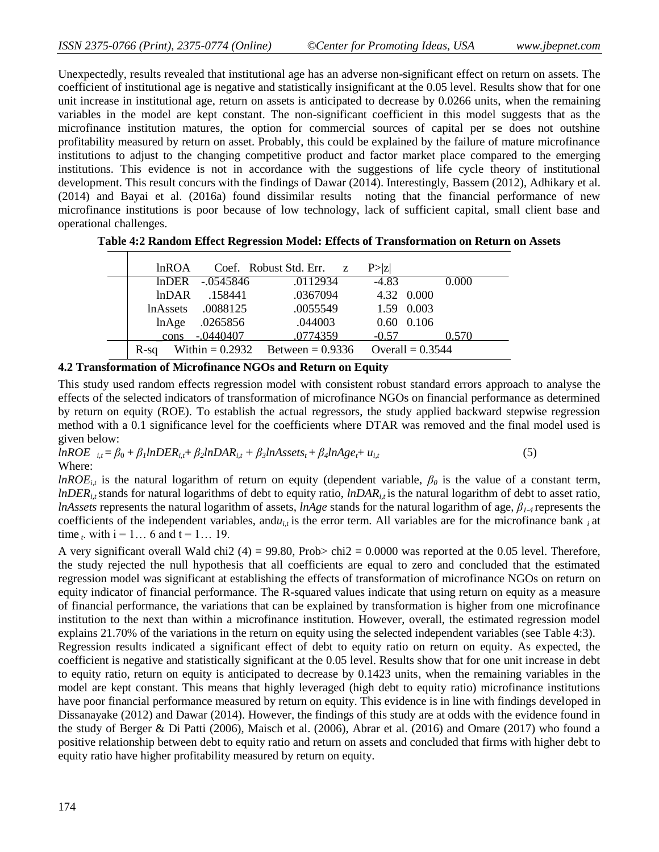Unexpectedly, results revealed that institutional age has an adverse non-significant effect on return on assets. The coefficient of institutional age is negative and statistically insignificant at the 0.05 level. Results show that for one unit increase in institutional age, return on assets is anticipated to decrease by 0.0266 units, when the remaining variables in the model are kept constant. The non-significant coefficient in this model suggests that as the microfinance institution matures, the option for commercial sources of capital per se does not outshine profitability measured by return on asset. Probably, this could be explained by the failure of mature microfinance institutions to adjust to the changing competitive product and factor market place compared to the emerging institutions. This evidence is not in accordance with the suggestions of life cycle theory of institutional development. This result concurs with the findings of Dawar (2014). Interestingly, Bassem (2012), Adhikary et al. (2014) and Bayai et al. (2016a) found dissimilar results noting that the financial performance of new microfinance institutions is poor because of low technology, lack of sufficient capital, small client base and operational challenges.

| lnROA |                     | Coef. Robust Std. Err. z             | P >  Z  |                    |  |
|-------|---------------------|--------------------------------------|---------|--------------------|--|
|       | $lnDER - 0.0545846$ | .0112934                             | $-4.83$ | 0.000              |  |
|       | $lnDAR$ .158441     | .0367094                             |         | 4.32 0.000         |  |
|       | lnAssets .0088125   | .0055549                             |         | 1.59 0.003         |  |
| lnAge | .0265856            | .044003                              |         | $0.60$ $0.106$     |  |
| cons  | -.0440407           | .0774359                             | $-0.57$ | 0.570              |  |
| R-sa  |                     | Within = $0.2932$ Between = $0.9336$ |         | Overall = $0.3544$ |  |

**Table 4:2 Random Effect Regression Model: Effects of Transformation on Return on Assets**

#### **4.2 Transformation of Microfinance NGOs and Return on Equity**

This study used random effects regression model with consistent robust standard errors approach to analyse the effects of the selected indicators of transformation of microfinance NGOs on financial performance as determined by return on equity (ROE). To establish the actual regressors, the study applied backward stepwise regression method with a 0.1 significance level for the coefficients where DTAR was removed and the final model used is given below:

 $lnROE$   $i_t = \beta_0 + \beta_1 lnDER_{i,t} + \beta_2 lnDAR_{i,t} + \beta_3 lnAssets_t + \beta_4 lnAge_t + u_{i,t}$  (5) Where:

*lnROE*<sub>*it*</sub> is the natural logarithm of return on equity (dependent variable,  $\beta_0$  is the value of a constant term, *lnDER*<sub>*i*</sub>, stands for natural logarithms of debt to equity ratio, *lnDAR*<sub>*i*</sub>, is the natural logarithm of debt to asset ratio, *lnAssets* represents the natural logarithm of assets, *lnAge* stands for the natural logarithm of age, *β1-4* represents the coefficients of the independent variables, and $u_{i,t}$  is the error term. All variables are for the microfinance bank  $_i$  at time *t*. with  $i = 1... 6$  and  $t = 1... 19$ .

A very significant overall Wald chi2 (4) = 99.80, Prob> chi2 = 0.0000 was reported at the 0.05 level. Therefore, the study rejected the null hypothesis that all coefficients are equal to zero and concluded that the estimated regression model was significant at establishing the effects of transformation of microfinance NGOs on return on equity indicator of financial performance. The R-squared values indicate that using return on equity as a measure of financial performance, the variations that can be explained by transformation is higher from one microfinance institution to the next than within a microfinance institution. However, overall, the estimated regression model explains 21.70% of the variations in the return on equity using the selected independent variables (see Table 4:3). Regression results indicated a significant effect of debt to equity ratio on return on equity. As expected, the coefficient is negative and statistically significant at the 0.05 level. Results show that for one unit increase in debt to equity ratio, return on equity is anticipated to decrease by 0.1423 units, when the remaining variables in the model are kept constant. This means that highly leveraged (high debt to equity ratio) microfinance institutions have poor financial performance measured by return on equity. This evidence is in line with findings developed in Dissanayake (2012) and Dawar (2014). However, the findings of this study are at odds with the evidence found in the study of Berger & Di Patti (2006), Maisch et al. (2006), Abrar et al. (2016) and Omare (2017) who found a positive relationship between debt to equity ratio and return on assets and concluded that firms with higher debt to equity ratio have higher profitability measured by return on equity.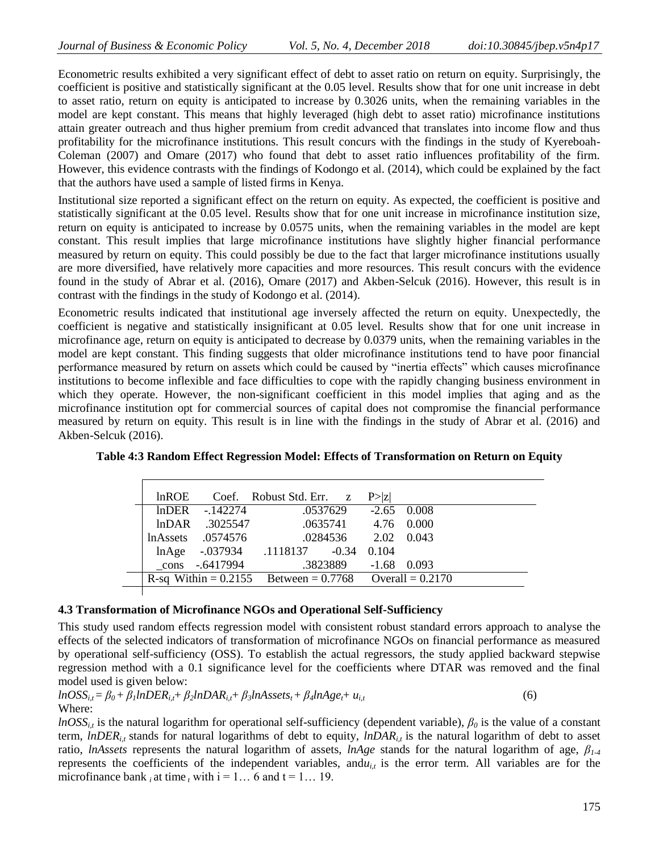Econometric results exhibited a very significant effect of debt to asset ratio on return on equity. Surprisingly, the coefficient is positive and statistically significant at the 0.05 level. Results show that for one unit increase in debt to asset ratio, return on equity is anticipated to increase by 0.3026 units, when the remaining variables in the model are kept constant. This means that highly leveraged (high debt to asset ratio) microfinance institutions attain greater outreach and thus higher premium from credit advanced that translates into income flow and thus profitability for the microfinance institutions. This result concurs with the findings in the study of Kyereboah-Coleman (2007) and Omare (2017) who found that debt to asset ratio influences profitability of the firm. However, this evidence contrasts with the findings of Kodongo et al. (2014), which could be explained by the fact that the authors have used a sample of listed firms in Kenya.

Institutional size reported a significant effect on the return on equity. As expected, the coefficient is positive and statistically significant at the 0.05 level. Results show that for one unit increase in microfinance institution size, return on equity is anticipated to increase by 0.0575 units, when the remaining variables in the model are kept constant. This result implies that large microfinance institutions have slightly higher financial performance measured by return on equity. This could possibly be due to the fact that larger microfinance institutions usually are more diversified, have relatively more capacities and more resources. This result concurs with the evidence found in the study of Abrar et al. (2016), Omare (2017) and Akben-Selcuk (2016). However, this result is in contrast with the findings in the study of Kodongo et al. (2014).

Econometric results indicated that institutional age inversely affected the return on equity. Unexpectedly, the coefficient is negative and statistically insignificant at 0.05 level. Results show that for one unit increase in microfinance age, return on equity is anticipated to decrease by 0.0379 units, when the remaining variables in the model are kept constant. This finding suggests that older microfinance institutions tend to have poor financial performance measured by return on assets which could be caused by "inertia effects" which causes microfinance institutions to become inflexible and face difficulties to cope with the rapidly changing business environment in which they operate. However, the non-significant coefficient in this model implies that aging and as the microfinance institution opt for commercial sources of capital does not compromise the financial performance measured by return on equity. This result is in line with the findings in the study of Abrar et al. (2016) and Akben-Selcuk (2016).

| lnROE |                        | Coef. Robust Std. Err. z                                     |                      | P >  z |  |  |
|-------|------------------------|--------------------------------------------------------------|----------------------|--------|--|--|
|       | $ln$ DER $-142274$     |                                                              | .0537629 -2.65 0.008 |        |  |  |
|       | $ln\text{DAR}$ 3025547 |                                                              | .0635741 4.76 0.000  |        |  |  |
|       |                        | lnAssets .0574576 .0284536 2.02 0.043                        |                      |        |  |  |
|       |                        | lnAge -.037934 .1118137 -0.34 0.104                          |                      |        |  |  |
|       | cons -.6417994         |                                                              | .3823889 -1.68 0.093 |        |  |  |
|       |                        | R-sq Within = $0.2155$ Between = $0.7768$ Overall = $0.2170$ |                      |        |  |  |
|       |                        |                                                              |                      |        |  |  |

# **4.3 Transformation of Microfinance NGOs and Operational Self-Sufficiency**

This study used random effects regression model with consistent robust standard errors approach to analyse the effects of the selected indicators of transformation of microfinance NGOs on financial performance as measured by operational self-sufficiency (OSS). To establish the actual regressors, the study applied backward stepwise regression method with a 0.1 significance level for the coefficients where DTAR was removed and the final model used is given below:

$$
lnOSS_{i,t} = \beta_0 + \beta_1 lnDER_{i,t} + \beta_2 lnDAR_{i,t} + \beta_3 lnAssets_t + \beta_4 lnAge_t + u_{i,t}
$$
\n
$$
(6)
$$
\nWhere:

*lnOSS*<sub>*i,t*</sub> is the natural logarithm for operational self-sufficiency (dependent variable),  $\beta_0$  is the value of a constant term,  $lnDER_{i,t}$  stands for natural logarithms of debt to equity,  $lnDAR_{i,t}$  is the natural logarithm of debt to asset ratio, *lnAssets* represents the natural logarithm of assets, *lnAge* stands for the natural logarithm of age, *β1-4*  represents the coefficients of the independent variables, and $u_{i,t}$  is the error term. All variables are for the microfinance bank *i* at time *t* with  $i = 1...$  6 and  $t = 1...$  19.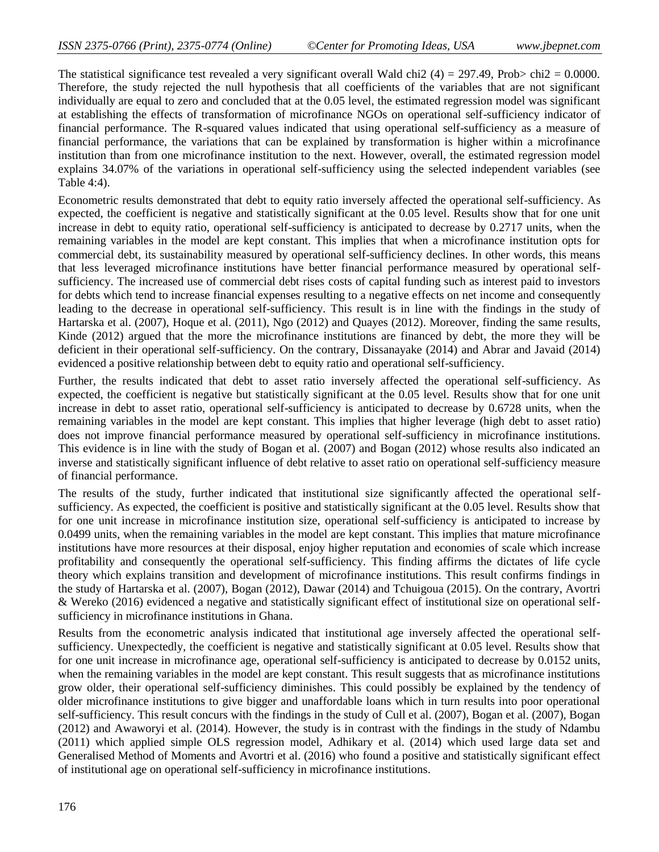The statistical significance test revealed a very significant overall Wald chi2 (4) = 297.49, Prob> chi2 = 0.0000. Therefore, the study rejected the null hypothesis that all coefficients of the variables that are not significant individually are equal to zero and concluded that at the 0.05 level, the estimated regression model was significant at establishing the effects of transformation of microfinance NGOs on operational self-sufficiency indicator of financial performance. The R-squared values indicated that using operational self-sufficiency as a measure of financial performance, the variations that can be explained by transformation is higher within a microfinance institution than from one microfinance institution to the next. However, overall, the estimated regression model explains 34.07% of the variations in operational self-sufficiency using the selected independent variables (see Table 4:4).

Econometric results demonstrated that debt to equity ratio inversely affected the operational self-sufficiency. As expected, the coefficient is negative and statistically significant at the 0.05 level. Results show that for one unit increase in debt to equity ratio, operational self-sufficiency is anticipated to decrease by 0.2717 units, when the remaining variables in the model are kept constant. This implies that when a microfinance institution opts for commercial debt, its sustainability measured by operational self-sufficiency declines. In other words, this means that less leveraged microfinance institutions have better financial performance measured by operational selfsufficiency. The increased use of commercial debt rises costs of capital funding such as interest paid to investors for debts which tend to increase financial expenses resulting to a negative effects on net income and consequently leading to the decrease in operational self-sufficiency. This result is in line with the findings in the study of Hartarska et al. (2007), Hoque et al. (2011), Ngo (2012) and Quayes (2012). Moreover, finding the same results, Kinde (2012) argued that the more the microfinance institutions are financed by debt, the more they will be deficient in their operational self-sufficiency. On the contrary, Dissanayake (2014) and Abrar and Javaid (2014) evidenced a positive relationship between debt to equity ratio and operational self-sufficiency.

Further, the results indicated that debt to asset ratio inversely affected the operational self-sufficiency. As expected, the coefficient is negative but statistically significant at the 0.05 level. Results show that for one unit increase in debt to asset ratio, operational self-sufficiency is anticipated to decrease by 0.6728 units, when the remaining variables in the model are kept constant. This implies that higher leverage (high debt to asset ratio) does not improve financial performance measured by operational self-sufficiency in microfinance institutions. This evidence is in line with the study of Bogan et al. (2007) and Bogan (2012) whose results also indicated an inverse and statistically significant influence of debt relative to asset ratio on operational self-sufficiency measure of financial performance.

The results of the study, further indicated that institutional size significantly affected the operational selfsufficiency. As expected, the coefficient is positive and statistically significant at the 0.05 level. Results show that for one unit increase in microfinance institution size, operational self-sufficiency is anticipated to increase by 0.0499 units, when the remaining variables in the model are kept constant. This implies that mature microfinance institutions have more resources at their disposal, enjoy higher reputation and economies of scale which increase profitability and consequently the operational self-sufficiency. This finding affirms the dictates of life cycle theory which explains transition and development of microfinance institutions. This result confirms findings in the study of Hartarska et al. (2007), Bogan (2012), Dawar (2014) and Tchuigoua (2015). On the contrary, Avortri & Wereko (2016) evidenced a negative and statistically significant effect of institutional size on operational selfsufficiency in microfinance institutions in Ghana.

Results from the econometric analysis indicated that institutional age inversely affected the operational selfsufficiency. Unexpectedly, the coefficient is negative and statistically significant at 0.05 level. Results show that for one unit increase in microfinance age, operational self-sufficiency is anticipated to decrease by 0.0152 units, when the remaining variables in the model are kept constant. This result suggests that as microfinance institutions grow older, their operational self-sufficiency diminishes. This could possibly be explained by the tendency of older microfinance institutions to give bigger and unaffordable loans which in turn results into poor operational self-sufficiency. This result concurs with the findings in the study of Cull et al. (2007), Bogan et al. (2007), Bogan (2012) and Awaworyi et al. (2014). However, the study is in contrast with the findings in the study of Ndambu (2011) which applied simple OLS regression model, Adhikary et al. (2014) which used large data set and Generalised Method of Moments and Avortri et al. (2016) who found a positive and statistically significant effect of institutional age on operational self-sufficiency in microfinance institutions.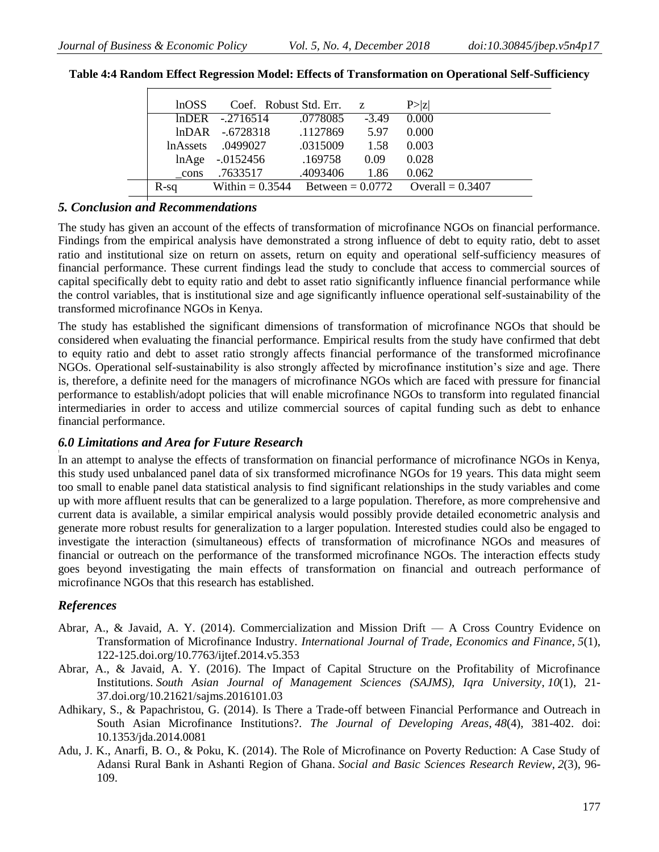| 1nOSS   | Coef. Robust Std. Err. z |          |         | P >  Z                                                  |  |
|---------|--------------------------|----------|---------|---------------------------------------------------------|--|
|         | $lnDER - 2716514$        | .0778085 | $-3.49$ | 0.000                                                   |  |
|         | lnDAR -.6728318 .1127869 |          | 5.97    | 0.000                                                   |  |
|         | lnAssets .0499027        | .0315009 | 1.58    | 0.003                                                   |  |
|         | $lnAge - 0152456$        | .169758  | 0.09    | 0.028                                                   |  |
| cons    | .7633517                 | .4093406 | 1.86    | 0.062                                                   |  |
| $R$ -sa |                          |          |         | Within = $0.3544$ Between = $0.0772$ Overall = $0.3407$ |  |

**Table 4:4 Random Effect Regression Model: Effects of Transformation on Operational Self-Sufficiency**

## *5. Conclusion and Recommendations*

The study has given an account of the effects of transformation of microfinance NGOs on financial performance. Findings from the empirical analysis have demonstrated a strong influence of debt to equity ratio, debt to asset ratio and institutional size on return on assets, return on equity and operational self-sufficiency measures of financial performance. These current findings lead the study to conclude that access to commercial sources of capital specifically debt to equity ratio and debt to asset ratio significantly influence financial performance while the control variables, that is institutional size and age significantly influence operational self-sustainability of the transformed microfinance NGOs in Kenya.

The study has established the significant dimensions of transformation of microfinance NGOs that should be considered when evaluating the financial performance. Empirical results from the study have confirmed that debt to equity ratio and debt to asset ratio strongly affects financial performance of the transformed microfinance NGOs. Operational self-sustainability is also strongly affected by microfinance institution's size and age. There is, therefore, a definite need for the managers of microfinance NGOs which are faced with pressure for financial performance to establish/adopt policies that will enable microfinance NGOs to transform into regulated financial intermediaries in order to access and utilize commercial sources of capital funding such as debt to enhance financial performance.

# *6.0 Limitations and Area for Future Research*

In an attempt to analyse the effects of transformation on financial performance of microfinance NGOs in Kenya, this study used unbalanced panel data of six transformed microfinance NGOs for 19 years. This data might seem too small to enable panel data statistical analysis to find significant relationships in the study variables and come up with more affluent results that can be generalized to a large population. Therefore, as more comprehensive and current data is available, a similar empirical analysis would possibly provide detailed econometric analysis and generate more robust results for generalization to a larger population. Interested studies could also be engaged to investigate the interaction (simultaneous) effects of transformation of microfinance NGOs and measures of financial or outreach on the performance of the transformed microfinance NGOs. The interaction effects study goes beyond investigating the main effects of transformation on financial and outreach performance of microfinance NGOs that this research has established.

# *References*

- Abrar, A., & Javaid, A. Y. (2014). Commercialization and Mission Drift A Cross Country Evidence on Transformation of Microfinance Industry. *International Journal of Trade, Economics and Finance*, *5*(1), 122-125[.doi.org/10.7763/ijtef.2014.v5.353](https://doi.org/10.7763/ijtef.2014.v5.353)
- Abrar, A., & Javaid, A. Y. (2016). The Impact of Capital Structure on the Profitability of Microfinance Institutions. *South Asian Journal of Management Sciences (SAJMS), Iqra University*, *10*(1), 21- 37.doi.org/10.21621/sajms.2016101.03
- Adhikary, S., & Papachristou, G. (2014). Is There a Trade-off between Financial Performance and Outreach in South Asian Microfinance Institutions?. *The Journal of Developing Areas*, *48*(4), 381-402. doi: 10.1353/jda.2014.0081
- Adu, J. K., Anarfi, B. O., & Poku, K. (2014). The Role of Microfinance on Poverty Reduction: A Case Study of Adansi Rural Bank in Ashanti Region of Ghana. *Social and Basic Sciences Research Review*, *2*(3), 96- 109.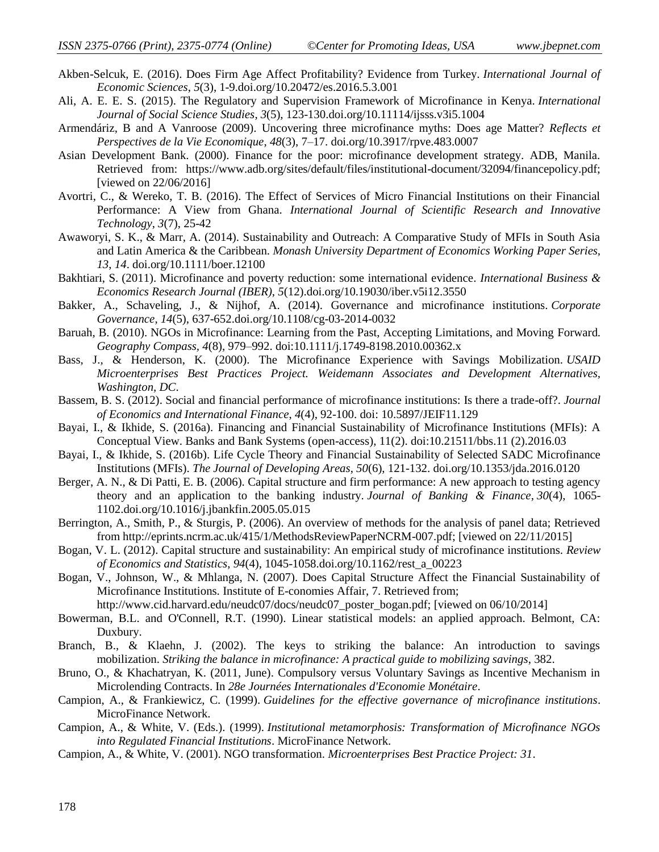- Akben-Selcuk, E. (2016). Does Firm Age Affect Profitability? Evidence from Turkey. *International Journal of Economic Sciences*, *5*(3), 1-9.doi.org/10.20472/es.2016.5.3.001
- Ali, A. E. E. S. (2015). The Regulatory and Supervision Framework of Microfinance in Kenya. *International Journal of Social Science Studies*, *3*(5), 123-130.doi.org/10.11114/ijsss.v3i5.1004
- Armendáriz, B and A Vanroose (2009). Uncovering three microfinance myths: Does age Matter? *Reflects et Perspectives de la Vie Economique*, *48*(3), 7–17. doi.org/10.3917/rpve.483.0007
- Asian Development Bank. (2000). Finance for the poor: microfinance development strategy. ADB, Manila. Retrieved from: https://www.adb.org/sites/default/files/institutional-document/32094/financepolicy.pdf; [viewed on 22/06/2016]
- Avortri, C., & Wereko, T. B. (2016). The Effect of Services of Micro Financial Institutions on their Financial Performance: A View from Ghana. *International Journal of Scientific Research and Innovative Technology*, *3*(7), 25-42
- Awaworyi, S. K., & Marr, A. (2014). Sustainability and Outreach: A Comparative Study of MFIs in South Asia and Latin America & the Caribbean. *Monash University Department of Economics Working Paper Series, 13*, *14*. doi.org/10.1111/boer.12100
- Bakhtiari, S. (2011). Microfinance and poverty reduction: some international evidence. *International Business & Economics Research Journal (IBER)*, *5*(12).doi.org/10.19030/iber.v5i12.3550
- Bakker, A., Schaveling, J., & Nijhof, A. (2014). Governance and microfinance institutions. *Corporate Governance*, *14*(5), 637-652.doi.org/10.1108/cg-03-2014-0032
- Baruah, B. (2010). NGOs in Microfinance: Learning from the Past, Accepting Limitations, and Moving Forward. *Geography Compass, 4*(8), 979–992. doi:10.1111/j.1749-8198.2010.00362.x
- Bass, J., & Henderson, K. (2000). The Microfinance Experience with Savings Mobilization. *USAID Microenterprises Best Practices Project. Weidemann Associates and Development Alternatives, Washington, DC*.
- Bassem, B. S. (2012). Social and financial performance of microfinance institutions: Is there a trade-off?. *Journal of Economics and International Finance*, *4*(4), 92-100. doi: 10.5897/JEIF11.129
- Bayai, I., & Ikhide, S. (2016a). Financing and Financial Sustainability of Microfinance Institutions (MFIs): A Conceptual View. Banks and Bank Systems (open-access), 11(2). doi:10.21511/bbs.11 (2).2016.03
- Bayai, I., & Ikhide, S. (2016b). Life Cycle Theory and Financial Sustainability of Selected SADC Microfinance Institutions (MFIs). *The Journal of Developing Areas*, *50*(6), 121-132. doi.org/10.1353/jda.2016.0120
- Berger, A. N., & Di Patti, E. B. (2006). Capital structure and firm performance: A new approach to testing agency theory and an application to the banking industry. *Journal of Banking & Finance*, *30*(4), 1065- 1102.doi.org/10.1016/j.jbankfin.2005.05.015
- Berrington, A., Smith, P., & Sturgis, P. (2006). An overview of methods for the analysis of panel data; Retrieved from http://eprints.ncrm.ac.uk/415/1/MethodsReviewPaperNCRM-007.pdf; [viewed on 22/11/2015]
- Bogan, V. L. (2012). Capital structure and sustainability: An empirical study of microfinance institutions. *Review of Economics and Statistics*, *94*(4), 1045-1058.doi.org/10.1162/rest\_a\_00223
- Bogan, V., Johnson, W., & Mhlanga, N. (2007). Does Capital Structure Affect the Financial Sustainability of Microfinance Institutions. Institute of E-conomies Affair, 7. Retrieved from;
	- http://www.cid.harvard.edu/neudc07/docs/neudc07\_poster\_bogan.pdf; [viewed on 06/10/2014]
- Bowerman, B.L. and O'Connell, R.T. (1990). Linear statistical models: an applied approach. Belmont, CA: Duxbury.
- Branch, B., & Klaehn, J. (2002). The keys to striking the balance: An introduction to savings mobilization. *Striking the balance in microfinance: A practical guide to mobilizing savings*, 382.
- Bruno, O., & Khachatryan, K. (2011, June). Compulsory versus Voluntary Savings as Incentive Mechanism in Microlending Contracts. In *28e Journées Internationales d'Economie Monétaire*.
- Campion, A., & Frankiewicz, C. (1999). *Guidelines for the effective governance of microfinance institutions*. MicroFinance Network.
- Campion, A., & White, V. (Eds.). (1999). *Institutional metamorphosis: Transformation of Microfinance NGOs into Regulated Financial Institutions*. MicroFinance Network.
- Campion, A., & White, V. (2001). NGO transformation. *Microenterprises Best Practice Project: 31*.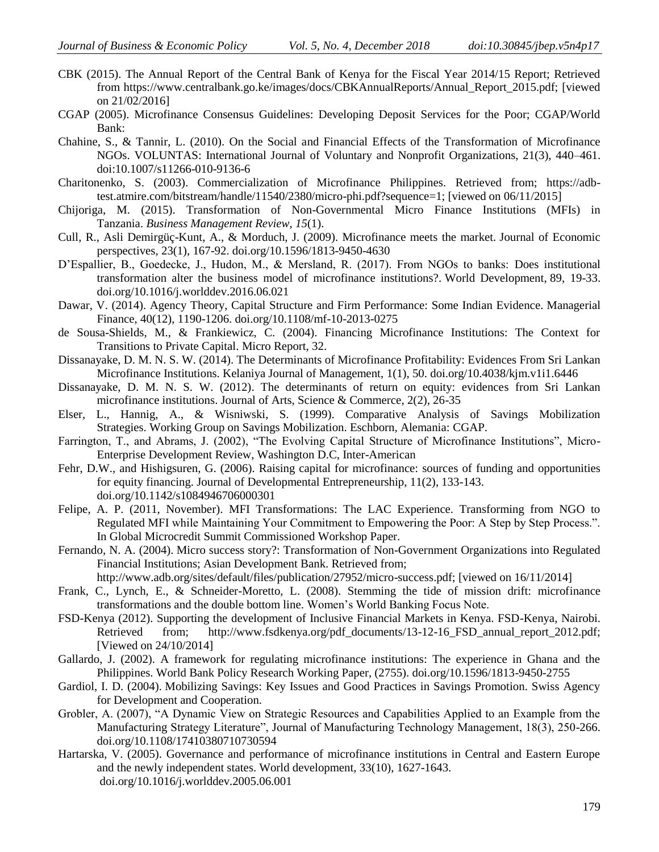- CBK (2015). The Annual Report of the Central Bank of Kenya for the Fiscal Year 2014/15 Report; Retrieved from https://www.centralbank.go.ke/images/docs/CBKAnnualReports/Annual\_Report\_2015.pdf; [viewed on 21/02/2016]
- CGAP (2005). Microfinance Consensus Guidelines: Developing Deposit Services for the Poor; CGAP/World Bank:
- Chahine, S., & Tannir, L. (2010). On the Social and Financial Effects of the Transformation of Microfinance NGOs. VOLUNTAS: International Journal of Voluntary and Nonprofit Organizations, 21(3), 440–461. doi:10.1007/s11266-010-9136-6
- Charitonenko, S. (2003). Commercialization of Microfinance Philippines. Retrieved from; https://adbtest.atmire.com/bitstream/handle/11540/2380/micro-phi.pdf?sequence=1; [viewed on 06/11/2015]
- Chijoriga, M. (2015). Transformation of Non-Governmental Micro Finance Institutions (MFIs) in Tanzania. *Business Management Review*, *15*(1).
- Cull, R., Asli Demirgüç-Kunt, A., & Morduch, J. (2009). Microfinance meets the market. Journal of Economic perspectives, 23(1), 167-92. doi.org/10.1596/1813-9450-4630
- D'Espallier, B., Goedecke, J., Hudon, M., & Mersland, R. (2017). From NGOs to banks: Does institutional transformation alter the business model of microfinance institutions?. World Development, 89, 19-33. doi.org/10.1016/j.worlddev.2016.06.021
- Dawar, V. (2014). Agency Theory, Capital Structure and Firm Performance: Some Indian Evidence. Managerial Finance, 40(12), 1190-1206. doi.org/10.1108/mf-10-2013-0275
- de Sousa-Shields, M., & Frankiewicz, C. (2004). Financing Microfinance Institutions: The Context for Transitions to Private Capital. Micro Report, 32.
- Dissanayake, D. M. N. S. W. (2014). The Determinants of Microfinance Profitability: Evidences From Sri Lankan Microfinance Institutions. Kelaniya Journal of Management, 1(1), 50. doi.org/10.4038/kjm.v1i1.6446
- Dissanayake, D. M. N. S. W. (2012). The determinants of return on equity: evidences from Sri Lankan microfinance institutions. Journal of Arts, Science & Commerce, 2(2), 26-35
- Elser, L., Hannig, A., & Wisniwski, S. (1999). Comparative Analysis of Savings Mobilization Strategies. Working Group on Savings Mobilization. Eschborn, Alemania: CGAP.
- Farrington, T., and Abrams, J. (2002), "The Evolving Capital Structure of Microfinance Institutions", Micro-Enterprise Development Review, Washington D.C, Inter-American
- Fehr, D.W., and Hishigsuren, G. (2006). Raising capital for microfinance: sources of funding and opportunities for equity financing. Journal of Developmental Entrepreneurship, 11(2), 133-143. doi.org/10.1142/s1084946706000301
- Felipe, A. P. (2011, November). MFI Transformations: The LAC Experience. Transforming from NGO to Regulated MFI while Maintaining Your Commitment to Empowering the Poor: A Step by Step Process.". In Global Microcredit Summit Commissioned Workshop Paper.
- Fernando, N. A. (2004). Micro success story?: Transformation of Non-Government Organizations into Regulated Financial Institutions; Asian Development Bank. Retrieved from;
	- http://www.adb.org/sites/default/files/publication/27952/micro-success.pdf; [viewed on 16/11/2014]
- Frank, C., Lynch, E., & Schneider-Moretto, L. (2008). Stemming the tide of mission drift: microfinance transformations and the double bottom line. Women's World Banking Focus Note.
- FSD-Kenya (2012). Supporting the development of Inclusive Financial Markets in Kenya. FSD-Kenya, Nairobi. Retrieved from; http://www.fsdkenya.org/pdf\_documents/13-12-16\_FSD\_annual\_report\_2012.pdf; [Viewed on 24/10/2014]
- Gallardo, J. (2002). A framework for regulating microfinance institutions: The experience in Ghana and the Philippines. World Bank Policy Research Working Paper, (2755). doi.org/10.1596/1813-9450-2755
- Gardiol, I. D. (2004). Mobilizing Savings: Key Issues and Good Practices in Savings Promotion. Swiss Agency for Development and Cooperation.
- Grobler, A. (2007), "A Dynamic View on Strategic Resources and Capabilities Applied to an Example from the Manufacturing Strategy Literature", Journal of Manufacturing Technology Management, 18(3), 250-266. doi.org/10.1108/17410380710730594
- Hartarska, V. (2005). Governance and performance of microfinance institutions in Central and Eastern Europe and the newly independent states. World development, 33(10), 1627-1643. doi.org/10.1016/j.worlddev.2005.06.001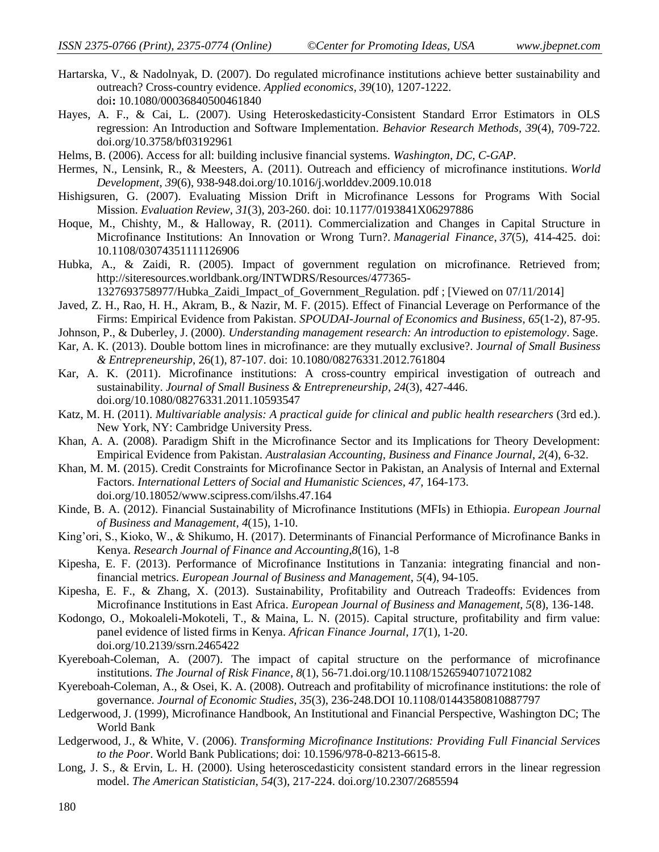- Hartarska, V., & Nadolnyak, D. (2007). Do regulated microfinance institutions achieve better sustainability and outreach? Cross-country evidence. *Applied economics*, *39*(10), 1207-1222. doi**:** 10.1080/00036840500461840
- Hayes, A. F., & Cai, L. (2007). Using Heteroskedasticity-Consistent Standard Error Estimators in OLS regression: An Introduction and Software Implementation. *Behavior Research Methods, 39*(4), 709-722*.* doi.org/10.3758/bf03192961
- Helms, B. (2006). Access for all: building inclusive financial systems. *Washington, DC, C-GAP*.
- Hermes, N., Lensink, R., & Meesters, A. (2011). Outreach and efficiency of microfinance institutions. *World Development*, *39*(6), 938-948.doi.org/10.1016/j.worlddev.2009.10.018
- Hishigsuren, G. (2007). Evaluating Mission Drift in Microfinance Lessons for Programs With Social Mission. *Evaluation Review*, *31*(3), 203-260. doi: 10.1177/0193841X06297886
- Hoque, M., Chishty, M., & Halloway, R. (2011). Commercialization and Changes in Capital Structure in Microfinance Institutions: An Innovation or Wrong Turn?. *Managerial Finance*, *37*(5), 414-425. doi: [10.1108/03074351111126906](http://dx.doi.org/10.1108/03074351111126906)
- Hubka, A., & Zaidi, R. (2005). Impact of government regulation on microfinance. Retrieved from; http://siteresources.worldbank.org/INTWDRS/Resources/477365-
	- 1327693758977/Hubka\_Zaidi\_Impact\_of\_Government\_Regulation. pdf ; [Viewed on 07/11/2014]
- Javed, Z. H., Rao, H. H., Akram, B., & Nazir, M. F. (2015). Effect of Financial Leverage on Performance of the Firms: Empirical Evidence from Pakistan. *SPOUDAI-Journal of Economics and Business*, *65*(1-2), 87-95.
- Johnson, P., & Duberley, J. (2000). *Understanding management research: An introduction to epistemology*. Sage.
- Kar, A. K. (2013). Double bottom lines in microfinance: are they mutually exclusive?. J*ournal of Small Business & Entrepreneurship*, 26(1), 87-107. doi: 10.1080/08276331.2012.761804
- Kar, A. K. (2011). Microfinance institutions: A cross-country empirical investigation of outreach and sustainability. *Journal of Small Business & Entrepreneurship*, *24*(3), 427-446. doi.org/10.1080/08276331.2011.10593547
- Katz, M. H. (2011). *Multivariable analysis: A practical guide for clinical and public health researchers* (3rd ed.). New York, NY: Cambridge University Press.
- Khan, A. A. (2008). Paradigm Shift in the Microfinance Sector and its Implications for Theory Development: Empirical Evidence from Pakistan. *Australasian Accounting, Business and Finance Journal*, *2*(4), 6-32.
- Khan, M. M. (2015). Credit Constraints for Microfinance Sector in Pakistan, an Analysis of Internal and External Factors. *International Letters of Social and Humanistic Sciences*, *47*, 164-173. doi.org/10.18052/www.scipress.com/ilshs.47.164
- Kinde, B. A. (2012). Financial Sustainability of Microfinance Institutions (MFIs) in Ethiopia. *European Journal of Business and Management*, *4*(15), 1-10.
- King'ori, S., Kioko, W., & Shikumo, H. (2017). Determinants of Financial Performance of Microfinance Banks in Kenya. *Research Journal of Finance and Accounting,8*(16), 1-8
- Kipesha, E. F. (2013). Performance of Microfinance Institutions in Tanzania: integrating financial and nonfinancial metrics. *European Journal of Business and Management*, *5*(4), 94-105.
- Kipesha, E. F., & Zhang, X. (2013). Sustainability, Profitability and Outreach Tradeoffs: Evidences from Microfinance Institutions in East Africa. *European Journal of Business and Management*, *5*(8), 136-148.
- Kodongo, O., Mokoaleli-Mokoteli, T., & Maina, L. N. (2015). Capital structure, profitability and firm value: panel evidence of listed firms in Kenya. *African Finance Journal*, *17*(1), 1-20. doi.org/10.2139/ssrn.2465422
- Kyereboah-Coleman, A. (2007). The impact of capital structure on the performance of microfinance institutions. *The Journal of Risk Finance*, *8*(1), 56-71.doi.org/10.1108/15265940710721082
- Kyereboah-Coleman, A., & Osei, K. A. (2008). Outreach and profitability of microfinance institutions: the role of governance. *Journal of Economic Studies*, *35*(3), 236-248.DOI 10.1108/01443580810887797
- Ledgerwood, J. (1999), Microfinance Handbook, An Institutional and Financial Perspective, Washington DC; The World Bank
- Ledgerwood, J., & White, V. (2006). *Transforming Microfinance Institutions: Providing Full Financial Services to the Poor*. World Bank Publications; doi: 10.1596/978-0-8213-6615-8.
- Long, J. S., & Ervin, L. H. (2000). Using heteroscedasticity consistent standard errors in the linear regression model. *The American Statistician*, *54*(3), 217-224. doi.org/10.2307/2685594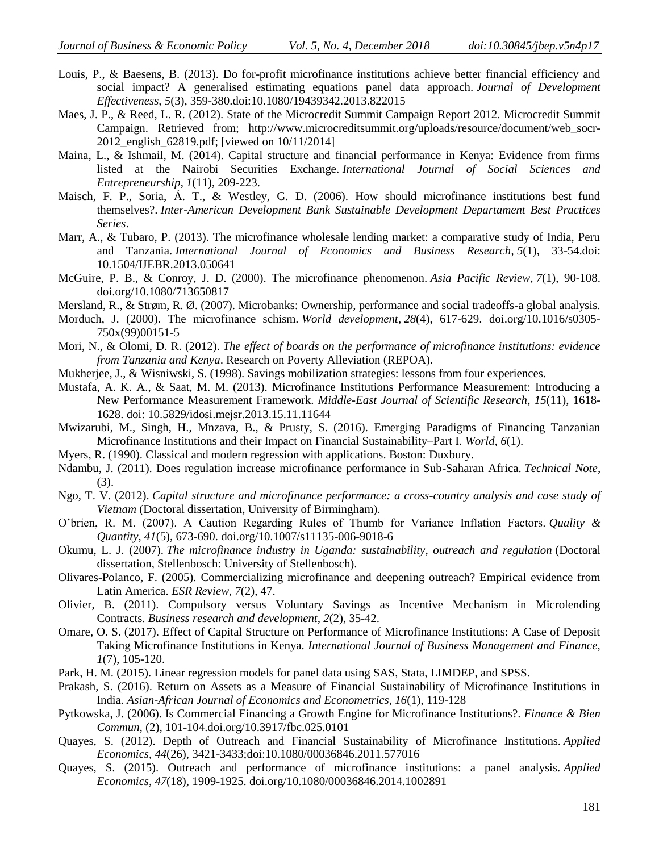- Louis, P., & Baesens, B. (2013). Do for-profit microfinance institutions achieve better financial efficiency and social impact? A generalised estimating equations panel data approach. *Journal of Development Effectiveness*, *5*(3), 359-380.doi:10.1080/19439342.2013.822015
- Maes, J. P., & Reed, L. R. (2012). State of the Microcredit Summit Campaign Report 2012. Microcredit Summit Campaign. Retrieved from; http://www.microcreditsummit.org/uploads/resource/document/web\_socr-2012\_english\_62819.pdf; [viewed on 10/11/2014]
- Maina, L., & Ishmail, M. (2014). Capital structure and financial performance in Kenya: Evidence from firms listed at the Nairobi Securities Exchange. *International Journal of Social Sciences and Entrepreneurship*, *1*(11), 209-223.
- Maisch, F. P., Soria, Á. T., & Westley, G. D. (2006). How should microfinance institutions best fund themselves?. *Inter-American Development Bank Sustainable Development Departament Best Practices Series*.
- Marr, A., & Tubaro, P. (2013). The microfinance wholesale lending market: a comparative study of India, Peru and Tanzania. *International Journal of Economics and Business Research*, *5*(1), 33-54.doi: 10.1504/IJEBR.2013.050641
- McGuire, P. B., & Conroy, J. D. (2000). The microfinance phenomenon. *Asia Pacific Review*, *7*(1), 90-108. doi.org/10.1080/713650817
- Mersland, R., & Strøm, R. Ø. (2007). Microbanks: Ownership, performance and social tradeoffs-a global analysis.
- Morduch, J. (2000). The microfinance schism. *World development*, *28*(4), 617-629. doi.org/10.1016/s0305- 750x(99)00151-5
- Mori, N., & Olomi, D. R. (2012). *The effect of boards on the performance of microfinance institutions: evidence from Tanzania and Kenya*. Research on Poverty Alleviation (REPOA).
- Mukherjee, J., & Wisniwski, S. (1998). Savings mobilization strategies: lessons from four experiences.
- Mustafa, A. K. A., & Saat, M. M. (2013). Microfinance Institutions Performance Measurement: Introducing a New Performance Measurement Framework. *Middle-East Journal of Scientific Research*, *15*(11), 1618- 1628. doi: 10.5829/idosi.mejsr.2013.15.11.11644
- Mwizarubi, M., Singh, H., Mnzava, B., & Prusty, S. (2016). Emerging Paradigms of Financing Tanzanian Microfinance Institutions and their Impact on Financial Sustainability–Part I. *World*, *6*(1).
- Myers, R. (1990). Classical and modern regression with applications. Boston: Duxbury.
- Ndambu, J. (2011). Does regulation increase microfinance performance in Sub-Saharan Africa. *Technical Note*, (3).
- Ngo, T. V. (2012). *Capital structure and microfinance performance: a cross-country analysis and case study of Vietnam* (Doctoral dissertation, University of Birmingham).
- O'brien, R. M. (2007). A Caution Regarding Rules of Thumb for Variance Inflation Factors. *Quality & Quantity*, *41*(5), 673-690. doi.org/10.1007/s11135-006-9018-6
- Okumu, L. J. (2007). *The microfinance industry in Uganda: sustainability, outreach and regulation* (Doctoral dissertation, Stellenbosch: University of Stellenbosch).
- Olivares-Polanco, F. (2005). Commercializing microfinance and deepening outreach? Empirical evidence from Latin America. *ESR Review*, *7*(2), 47.
- Olivier, B. (2011). Compulsory versus Voluntary Savings as Incentive Mechanism in Microlending Contracts. *Business research and development*, *2*(2), 35-42.
- Omare, O. S. (2017). Effect of Capital Structure on Performance of Microfinance Institutions: A Case of Deposit Taking Microfinance Institutions in Kenya. *International Journal of Business Management and Finance, 1*(7), 105-120.
- Park, H. M. (2015). Linear regression models for panel data using SAS, Stata, LIMDEP, and SPSS.
- Prakash, S. (2016). Return on Assets as a Measure of Financial Sustainability of Microfinance Institutions in India*. Asian-African Journal of Economics and Econometrics, 16*(1), 119-128
- Pytkowska, J. (2006). Is Commercial Financing a Growth Engine for Microfinance Institutions?. *Finance & Bien Commun*, (2), 101-104.doi.org/10.3917/fbc.025.0101
- Quayes, S. (2012). Depth of Outreach and Financial Sustainability of Microfinance Institutions. *Applied Economics*, *44*(26), 3421-3433;doi:10.1080/00036846.2011.577016
- Quayes, S. (2015). Outreach and performance of microfinance institutions: a panel analysis. *Applied Economics*, *47*(18), 1909-1925. doi.org/10.1080/00036846.2014.1002891